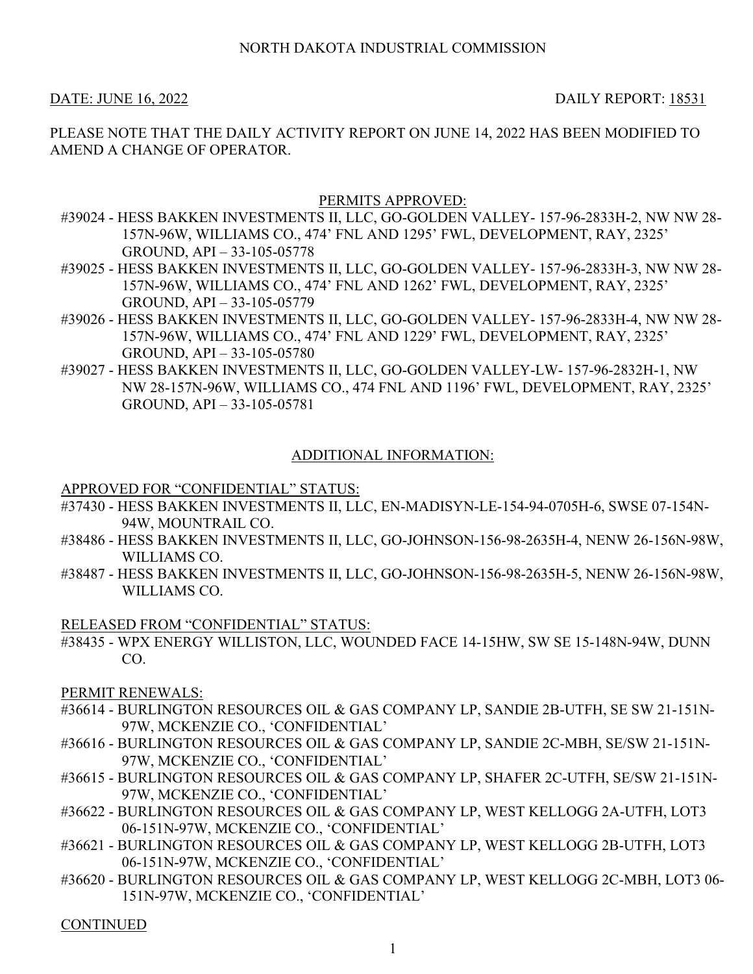DATE: JUNE 16, 2022 DAILY REPORT: 18531

PLEASE NOTE THAT THE DAILY ACTIVITY REPORT ON JUNE 14, 2022 HAS BEEN MODIFIED TO AMEND A CHANGE OF OPERATOR.

## PERMITS APPROVED:

- #39024 HESS BAKKEN INVESTMENTS II, LLC, GO-GOLDEN VALLEY- 157-96-2833H-2, NW NW 28- 157N-96W, WILLIAMS CO., 474' FNL AND 1295' FWL, DEVELOPMENT, RAY, 2325' GROUND, API – 33-105-05778
- #39025 HESS BAKKEN INVESTMENTS II, LLC, GO-GOLDEN VALLEY- 157-96-2833H-3, NW NW 28- 157N-96W, WILLIAMS CO., 474' FNL AND 1262' FWL, DEVELOPMENT, RAY, 2325' GROUND, API – 33-105-05779
- #39026 HESS BAKKEN INVESTMENTS II, LLC, GO-GOLDEN VALLEY- 157-96-2833H-4, NW NW 28- 157N-96W, WILLIAMS CO., 474' FNL AND 1229' FWL, DEVELOPMENT, RAY, 2325' GROUND, API – 33-105-05780
- #39027 HESS BAKKEN INVESTMENTS II, LLC, GO-GOLDEN VALLEY-LW- 157-96-2832H-1, NW NW 28-157N-96W, WILLIAMS CO., 474 FNL AND 1196' FWL, DEVELOPMENT, RAY, 2325' GROUND, API – 33-105-05781

# ADDITIONAL INFORMATION:

### APPROVED FOR "CONFIDENTIAL" STATUS:

- #37430 HESS BAKKEN INVESTMENTS II, LLC, EN-MADISYN-LE-154-94-0705H-6, SWSE 07-154N-94W, MOUNTRAIL CO.
- #38486 HESS BAKKEN INVESTMENTS II, LLC, GO-JOHNSON-156-98-2635H-4, NENW 26-156N-98W, WILLIAMS CO.
- #38487 HESS BAKKEN INVESTMENTS II, LLC, GO-JOHNSON-156-98-2635H-5, NENW 26-156N-98W, WILLIAMS CO.

### RELEASED FROM "CONFIDENTIAL" STATUS:

#38435 - WPX ENERGY WILLISTON, LLC, WOUNDED FACE 14-15HW, SW SE 15-148N-94W, DUNN CO.

PERMIT RENEWALS:

- #36614 BURLINGTON RESOURCES OIL & GAS COMPANY LP, SANDIE 2B-UTFH, SE SW 21-151N-97W, MCKENZIE CO., 'CONFIDENTIAL'
- #36616 BURLINGTON RESOURCES OIL & GAS COMPANY LP, SANDIE 2C-MBH, SE/SW 21-151N-97W, MCKENZIE CO., 'CONFIDENTIAL'
- #36615 BURLINGTON RESOURCES OIL & GAS COMPANY LP, SHAFER 2C-UTFH, SE/SW 21-151N-97W, MCKENZIE CO., 'CONFIDENTIAL'
- #36622 BURLINGTON RESOURCES OIL & GAS COMPANY LP, WEST KELLOGG 2A-UTFH, LOT3 06-151N-97W, MCKENZIE CO., 'CONFIDENTIAL'
- #36621 BURLINGTON RESOURCES OIL & GAS COMPANY LP, WEST KELLOGG 2B-UTFH, LOT3 06-151N-97W, MCKENZIE CO., 'CONFIDENTIAL'
- #36620 BURLINGTON RESOURCES OIL & GAS COMPANY LP, WEST KELLOGG 2C-MBH, LOT3 06- 151N-97W, MCKENZIE CO., 'CONFIDENTIAL'

CONTINUED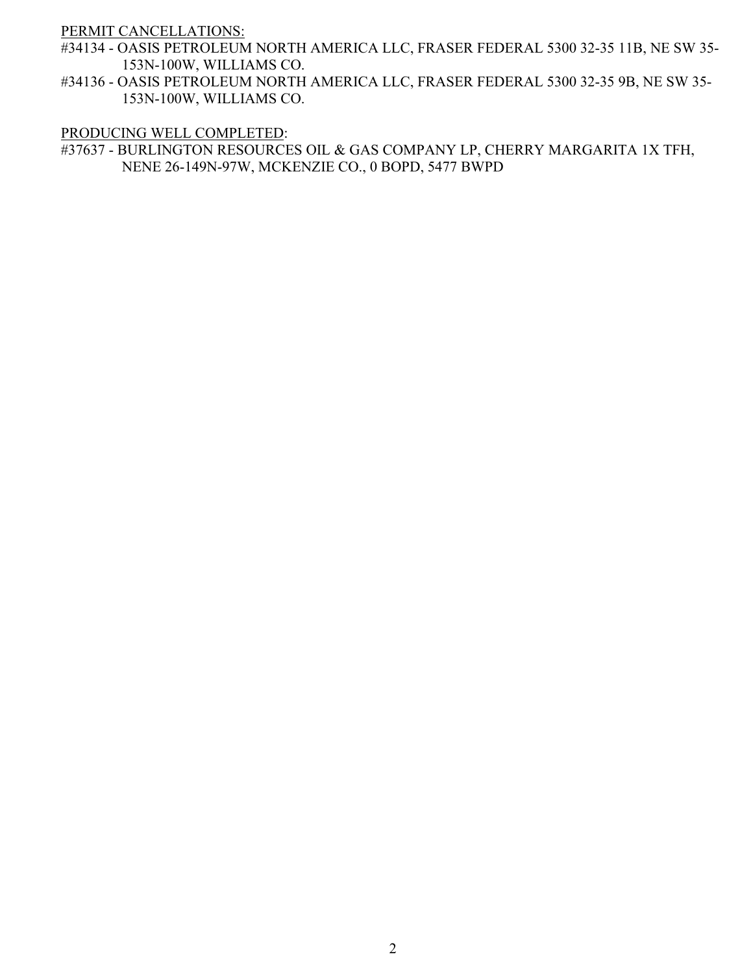PERMIT CANCELLATIONS:

- #34134 OASIS PETROLEUM NORTH AMERICA LLC, FRASER FEDERAL 5300 32-35 11B, NE SW 35- 153N-100W, WILLIAMS CO.
- #34136 OASIS PETROLEUM NORTH AMERICA LLC, FRASER FEDERAL 5300 32-35 9B, NE SW 35- 153N-100W, WILLIAMS CO.

#### PRODUCING WELL COMPLETED:

#37637 - BURLINGTON RESOURCES OIL & GAS COMPANY LP, CHERRY MARGARITA 1X TFH, NENE 26-149N-97W, MCKENZIE CO., 0 BOPD, 5477 BWPD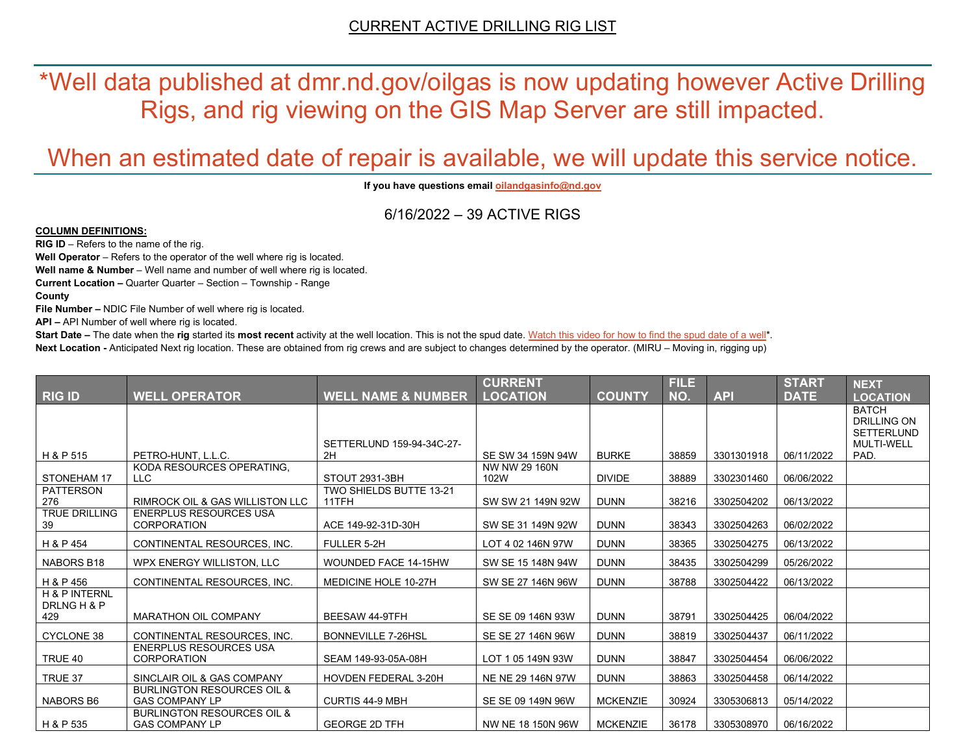\*Well data published at dmr.nd.gov/oilgas is now updating however Active Drilling Rigs, and rig viewing on the GIS Map Server are still impacted.

# When an estimated date of repair is available, we will update this service notice.

**If you have questions emai[l oilandgasinfo@nd.gov](mailto:oilandgasinfo@nd.gov)**

6/16/2022 – 39 ACTIVE RIGS

#### **COLUMN DEFINITIONS:**

**RIG ID** – Refers to the name of the rig.

**Well Operator** – Refers to the operator of the well where rig is located.

**Well name & Number** – Well name and number of well where rig is located.

**Current Location –** Quarter Quarter – Section – Township - Range

**County**

**File Number –** NDIC File Number of well where rig is located.

**API –** API Number of well where rig is located.

**Start Date** – The date when the **rig** started its most recent activity at the well location. This is not the spud date. Watch this video for how [to find the spud date of a well\\*](https://youtu.be/JjWwzuuMVpM). **Next Location -** Anticipated Next rig location. These are obtained from rig crews and are subject to changes determined by the operator. (MIRU – Moving in, rigging up)

|                                     |                                                                |                                  | <b>CURRENT</b>        |                 | <b>FILE</b> |            | <b>START</b> | <b>NEXT</b>                                             |
|-------------------------------------|----------------------------------------------------------------|----------------------------------|-----------------------|-----------------|-------------|------------|--------------|---------------------------------------------------------|
| <b>RIG ID</b>                       | <b>WELL OPERATOR</b>                                           | <b>WELL NAME &amp; NUMBER</b>    | <b>LOCATION</b>       | <b>COUNTY</b>   | NO.         | <b>API</b> | <b>DATE</b>  | <b>LOCATION</b>                                         |
|                                     |                                                                |                                  |                       |                 |             |            |              | <b>BATCH</b><br><b>DRILLING ON</b><br><b>SETTERLUND</b> |
|                                     |                                                                | SETTERLUND 159-94-34C-27-        |                       |                 |             |            |              | <b>MULTI-WELL</b>                                       |
| H & P 515                           | PETRO-HUNT, L.L.C.                                             | 2H                               | SE SW 34 159N 94W     | <b>BURKE</b>    | 38859       | 3301301918 | 06/11/2022   | PAD.                                                    |
| STONEHAM 17                         | KODA RESOURCES OPERATING.<br>LLC                               | STOUT 2931-3BH                   | NW NW 29 160N<br>102W | <b>DIVIDE</b>   | 38889       | 3302301460 | 06/06/2022   |                                                         |
| PATTERSON<br>276                    | <b>RIMROCK OIL &amp; GAS WILLISTON LLC</b>                     | TWO SHIELDS BUTTE 13-21<br>11TFH | SW SW 21 149N 92W     | <b>DUNN</b>     | 38216       | 3302504202 | 06/13/2022   |                                                         |
| <b>TRUE DRILLING</b><br>39          | <b>ENERPLUS RESOURCES USA</b><br><b>CORPORATION</b>            | ACE 149-92-31D-30H               | SW SE 31 149N 92W     | <b>DUNN</b>     | 38343       | 3302504263 | 06/02/2022   |                                                         |
| H & P 454                           | CONTINENTAL RESOURCES, INC.                                    | FULLER 5-2H                      | LOT 4 02 146N 97W     | <b>DUNN</b>     | 38365       | 3302504275 | 06/13/2022   |                                                         |
| NABORS B18                          | WPX ENERGY WILLISTON, LLC                                      | WOUNDED FACE 14-15HW             | SW SE 15 148N 94W     | <b>DUNN</b>     | 38435       | 3302504299 | 05/26/2022   |                                                         |
| H & P 456                           | CONTINENTAL RESOURCES, INC.                                    | MEDICINE HOLE 10-27H             | SW SE 27 146N 96W     | <b>DUNN</b>     | 38788       | 3302504422 | 06/13/2022   |                                                         |
| H & P INTERNL<br>DRLNG H & P<br>429 | <b>MARATHON OIL COMPANY</b>                                    | BEESAW 44-9TFH                   | SE SE 09 146N 93W     | <b>DUNN</b>     | 38791       | 3302504425 | 06/04/2022   |                                                         |
| <b>CYCLONE 38</b>                   | CONTINENTAL RESOURCES. INC.                                    | <b>BONNEVILLE 7-26HSL</b>        | SE SE 27 146N 96W     | <b>DUNN</b>     | 38819       | 3302504437 | 06/11/2022   |                                                         |
| TRUE 40                             | <b>ENERPLUS RESOURCES USA</b><br>CORPORATION                   | SEAM 149-93-05A-08H              | LOT 1 05 149N 93W     | <b>DUNN</b>     | 38847       | 3302504454 | 06/06/2022   |                                                         |
| TRUE 37                             | SINCLAIR OIL & GAS COMPANY                                     | <b>HOVDEN FEDERAL 3-20H</b>      | NE NE 29 146N 97W     | <b>DUNN</b>     | 38863       | 3302504458 | 06/14/2022   |                                                         |
| NABORS B6                           | <b>BURLINGTON RESOURCES OIL &amp;</b><br><b>GAS COMPANY LP</b> | <b>CURTIS 44-9 MBH</b>           | SE SE 09 149N 96W     | <b>MCKENZIE</b> | 30924       | 3305306813 | 05/14/2022   |                                                         |
| H & P 535                           | <b>BURLINGTON RESOURCES OIL &amp;</b><br><b>GAS COMPANY LP</b> | <b>GEORGE 2D TFH</b>             | NW NE 18 150N 96W     | <b>MCKENZIE</b> | 36178       | 3305308970 | 06/16/2022   |                                                         |